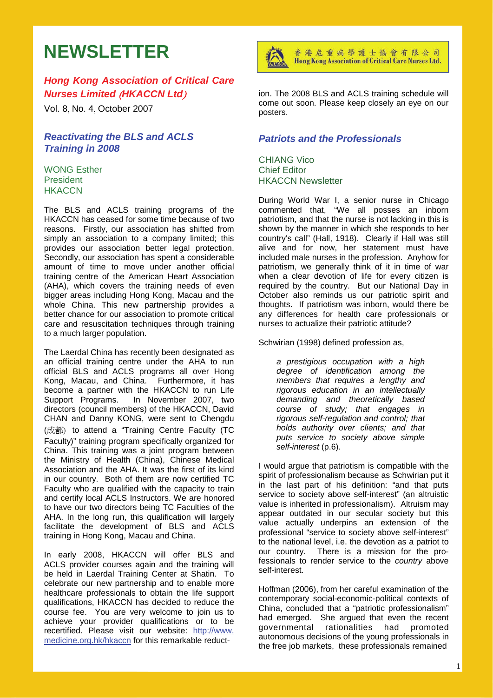# **NEWSLETTER**

# *Hong Kong Association of Critical Care Nurses Limited* (*HKACCN Ltd*)

Vol. 8, No. 4, October 2007

## *Reactivating the BLS and ACLS Training in 2008*

WONG Esther President **HKACCN** 

The BLS and ACLS training programs of the HKACCN has ceased for some time because of two reasons. Firstly, our association has shifted from simply an association to a company limited; this provides our association better legal protection. Secondly, our association has spent a considerable amount of time to move under another official training centre of the American Heart Association (AHA), which covers the training needs of even bigger areas including Hong Kong, Macau and the whole China. This new partnership provides a better chance for our association to promote critical care and resuscitation techniques through training to a much larger population.

The Laerdal China has recently been designated as an official training centre under the AHA to run official BLS and ACLS programs all over Hong Kong, Macau, and China. Furthermore, it has become a partner with the HKACCN to run Life Support Programs. In November 2007, two directors (council members) of the HKACCN, David CHAN and Danny KONG, were sent to Chengdu (成都) to attend a "Training Centre Faculty (TC Faculty)" training program specifically organized for China. This training was a joint program between the Ministry of Health (China), Chinese Medical Association and the AHA. It was the first of its kind in our country. Both of them are now certified TC Faculty who are qualified with the capacity to train and certify local ACLS Instructors. We are honored to have our two directors being TC Faculties of the AHA. In the long run, this qualification will largely facilitate the development of BLS and ACLS training in Hong Kong, Macau and China.

In early 2008, HKACCN will offer BLS and ACLS provider courses again and the training will be held in Laerdal Training Center at Shatin. To celebrate our new partnership and to enable more healthcare professionals to obtain the life support qualifications, HKACCN has decided to reduce the course fee. You are very welcome to join us to achieve your provider qualifications or to be recertified. Please visit our website: http://www. medicine.org.hk/hkaccn for this remarkable reduct-



香港危重病學護士協會有限公司 Hong Kong Association of Critical Care Nurses Ltd.

ion. The 2008 BLS and ACLS training schedule will come out soon. Please keep closely an eye on our posters.

# *Patriots and the Professionals*

CHIANG Vico Chief Editor HKACCN Newsletter

During World War I, a senior nurse in Chicago commented that, "We all posses an inborn patriotism, and that the nurse is not lacking in this is shown by the manner in which she responds to her country's call" (Hall, 1918). Clearly if Hall was still alive and for now, her statement must have included male nurses in the profession. Anyhow for patriotism, we generally think of it in time of war when a clear devotion of life for every citizen is required by the country. But our National Day in October also reminds us our patriotic spirit and thoughts. If patriotism was inborn, would there be any differences for health care professionals or nurses to actualize their patriotic attitude?

Schwirian (1998) defined profession as,

*a prestigious occupation with a high degree of identification among the members that requires a lengthy and rigorous education in an intellectually demanding and theoretically based course of study; that engages in rigorous self-regulation and control; that holds authority over clients; and that puts service to society above simple self-interest* (p.6).

I would argue that patriotism is compatible with the spirit of professionalism because as Schwirian put it in the last part of his definition: "and that puts service to society above self-interest" (an altruistic value is inherited in professionalism). Altruism may appear outdated in our secular society but this value actually underpins an extension of the professional "service to society above self-interest" to the national level, i.e. the devotion as a patriot to our country. There is a mission for the professionals to render service to the *country* above self-interest.

Hoffman (2006), from her careful examination of the contemporary social-economic-political contexts of China, concluded that a "patriotic professionalism" had emerged. She argued that even the recent governmental rationalities had promoted autonomous decisions of the young professionals in the free job markets, these professionals remained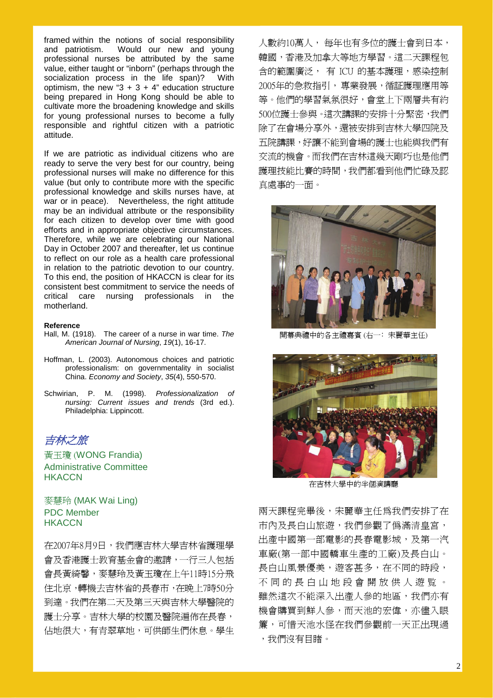framed within the notions of social responsibility and patriotism. Would our new and young professional nurses be attributed by the same value, either taught or "inborn" (perhaps through the socialization process in the life span)? With optimism, the new " $3 + 3 + 4$ " education structure being prepared in Hong Kong should be able to cultivate more the broadening knowledge and skills for young professional nurses to become a fully responsible and rightful citizen with a patriotic attitude.

If we are patriotic as individual citizens who are ready to serve the very best for our country, being professional nurses will make no difference for this value (but only to contribute more with the specific professional knowledge and skills nurses have, at war or in peace). Nevertheless, the right attitude may be an individual attribute or the responsibility for each citizen to develop over time with good efforts and in appropriate objective circumstances. Therefore, while we are celebrating our National Day in October 2007 and thereafter, let us continue to reflect on our role as a health care professional in relation to the patriotic devotion to our country. To this end, the position of HKACCN is clear for its consistent best commitment to service the needs of critical care nursing professionals in the motherland.

#### **Reference**

- Hall, M. (1918). The career of a nurse in war time. *The American Journal of Nursing*, *19*(1), 16-17.
- Hoffman, L. (2003). Autonomous choices and patriotic professionalism: on governmentality in socialist China. *Economy and Society*, *35*(4), 550-570.
- Schwirian, P. M. (1998). *Professionalization of nursing: Current issues and trends* (3rd ed.). Philadelphia: Lippincott.

吉林之旅

黃玉瓊 (WONG Frandia) Administrative Committee **HKACCN** 

## 麥慧玲 (MAK Wai Ling) PDC Member **HKACCN**

在2007年8月9日,我們應吉林大學吉林省護理學 會及香港護士教育基金會的邀請,一行三人包括 會長黃綺馨,麥慧玲及黃玉瓊在上午11時15分飛 住北京,轉機去吉林省的長春市,在晚上7時50分 到達。我們在第二天及第三天與吉林大學醫院的 護士分享。吉林大學的校園及醫院遍佈在長春, 佔地很大,有青翠草地,可供師生們休息。學生 人數約10萬人, 每年也有多位的護士會到日本, 韓國,香港及加拿大等地方學習。這二天課程包 含的範圍廣泛, 有 ICU 的基本護理,感染控制 2005年的急救指引, 專業發展,循証護理應用等 等。他們的學習氣氛很好,會堂上下兩層共有約 500位護士參與。這次講課的安排十分緊密,我們 除了在會場分享外,還被安排到吉林大學四院及 五院講課,好讓不能到會場的護士也能與我們有 交流的機會。而我們在吉林這幾天剛巧也是他們 護理技能比賽的時間,我們都看到他們忙碌及認 真處事的一面。



開幕典禮中的各主禮嘉賓 (右一:宋麗華主任)



在吉林大學中的半個演講廳

兩天課程完畢後,宋麗華主任為我們安排了在 市內及長白山旅遊,我們參觀了僞滿清皇宮, 出產中國第一部電影的長春電影城,及第一汽 車廠(第一部中國轎車生產的工廠)及長白山。 長白山風景優美,遊客甚多,在不同的時段, 不 同 的 長 白 山 地 段 會 開 放 供 人 遊 覧 。 雖然這次不能深入出產人參的地區,我們亦有 機會購買到鮮人參,而天池的宏偉,亦儘入眼 簾,可惜天池水怪在我們參觀前一天正出現過 ,我們沒有目睹。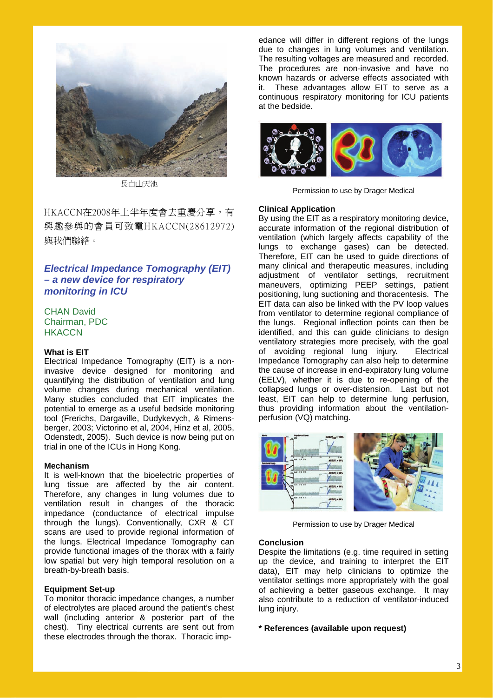

長白山天池

HKACCN在2008年上半年度會去重慶分享,有 興趣參與的會員可致電HKACCN(28612972) 與我們聯絡。

# *Electrical Impedance Tomography (EIT) – a new device for respiratory monitoring in ICU*

CHAN David Chairman, PDC **HKACCN** 

#### **What is EIT**

Electrical Impedance Tomography (EIT) is a noninvasive device designed for monitoring and quantifying the distribution of ventilation and lung volume changes during mechanical ventilation. Many studies concluded that EIT implicates the potential to emerge as a useful bedside monitoring tool (Frerichs, Dargaville, Dudykevych, & Rimensberger, 2003; Victorino et al, 2004, Hinz et al, 2005, Odenstedt, 2005). Such device is now being put on trial in one of the ICUs in Hong Kong.

#### **Mechanism**

It is well-known that the bioelectric properties of lung tissue are affected by the air content. Therefore, any changes in lung volumes due to ventilation result in changes of the thoracic impedance (conductance of electrical impulse through the lungs). Conventionally, CXR & CT scans are used to provide regional information of the lungs. Electrical Impedance Tomography can provide functional images of the thorax with a fairly low spatial but very high temporal resolution on a breath-by-breath basis.

#### **Equipment Set-up**

To monitor thoracic impedance changes, a number of electrolytes are placed around the patient's chest wall (including anterior & posterior part of the chest). Tiny electrical currents are sent out from these electrodes through the thorax. Thoracic imp-

edance will differ in different regions of the lungs due to changes in lung volumes and ventilation. The resulting voltages are measured and recorded. The procedures are non-invasive and have no known hazards or adverse effects associated with it. These advantages allow EIT to serve as a continuous respiratory monitoring for ICU patients at the bedside.



Permission to use by Drager Medical

#### **Clinical Application**

By using the EIT as a respiratory monitoring device, accurate information of the regional distribution of ventilation (which largely affects capability of the lungs to exchange gases) can be detected. Therefore, EIT can be used to guide directions of many clinical and therapeutic measures, including adjustment of ventilator settings, recruitment maneuvers, optimizing PEEP settings, patient positioning, lung suctioning and thoracentesis. The EIT data can also be linked with the PV loop values from ventilator to determine regional compliance of the lungs. Regional inflection points can then be identified, and this can quide clinicians to design ventilatory strategies more precisely, with the goal of avoiding regional lung injury. Electrical Impedance Tomography can also help to determine the cause of increase in end-expiratory lung volume (EELV), whether it is due to re-opening of the collapsed lungs or over-distension. Last but not least, EIT can help to determine lung perfusion, thus providing information about the ventilationperfusion (VQ) matching.



Permission to use by Drager Medical

#### **Conclusion**

Despite the limitations (e.g. time required in setting up the device, and training to interpret the EIT data), EIT may help clinicians to optimize the ventilator settings more appropriately with the goal of achieving a better gaseous exchange. It may also contribute to a reduction of ventilator-induced lung injury.

#### **\* References (available upon request)**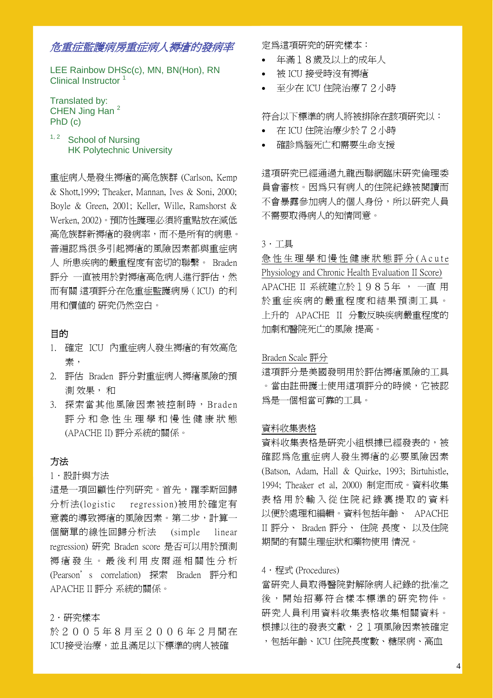# 危重症監護病房重症病人褥瘡的發病率

LEE Rainbow DHSc(c), MN, BN(Hon), RN Clinical Instructor

Translated by: CHEN Jing Han<sup>2</sup> PhD (c)

<sup>1, 2</sup> School of Nursing HK Polytechnic University

重症病人是發生褥瘡的高危族群 (Carlson, Kemp & Shott,1999; Theaker, Mannan, Ives & Soni, 2000; Boyle & Green, 2001; Keller, Wille, Ramshorst & Werken, 2002)。 預防性護理必須將重點放在減低 高危族群新褥瘡的發病率,而不是所有的病患。 普遍認為很多引起褥瘡的風險因素都與重症病 人 所患疾病的嚴重程度有密切的聯繫。 Braden 評分 一直被用於對褥瘡高危病人進行評估,然 而有關 這項評分在危重症監護病房(ICU) 的利 用和價值的 研究仍然空白。

# 目的

- 1. 確定 ICU 內重症病人發生褥瘡的有效高危 素,
- 2. 評估 Braden 評分對重症病人褥瘡風險的預 測 效果, 和
- 3. 探索當其他風險因素被控制時, Braden 評 分 和 急 性 生 理 學 和 慢 性 健 康 狀 態 (APACHE II) 評分系統的關係。

# 方法

## 1.設計與方法

這是一項回顧性佇列研究。首先,羅季斯回歸 分析法(logistic regression)被用於確定有 意義的導致褥瘡的風險因素。第二步,計算一 個簡單的線性回歸分析法 (simple linear regression) 研究 Braden score 是否可以用於預測 褥 瘡 發 生 。 最 後 利 用 皮 爾 遜 相 關 性 分 析 (Pearson's correlation) 探索 Braden 評分和 APACHE II 評分 系統的關係。

# 2.研究樣本

於 2 0 0 5 年 8 月至 2 0 0 6 年 2 月間在 ICU接受治療,並且滿足以下標準的病人被確

定為這項研究的研究樣本:

- 年滿18歲及以上的成年人
- 被 ICU 接受時沒有褥瘡
- 至少在 ICU 住院治療72小時

符合以下標準的病人將被排除在該項研究以:

- 在 ICU 住院治療少於72小時
- 確診為腦死亡和需要生命支援

這項研究已經通過九龍西聯網臨床研究倫理委 員會審核。因為只有病人的住院紀錄被閱讀而 不會暴露參加病人的個人身份,所以研究人員 不需要取得病人的知情同意。

## $3.$ 工具

急 性 生 理 學 和 慢 性 健 康 狀 態 評 分 ( A c u t e Physiology and Chronic Health Evaluation II Score) APACHE II 系統建立於1985年 , 一直 用 於重症疾病的嚴重程度和結果預測工具。 上升的 APACHE II 分數反映疾病嚴重程度的 加劇和醫院死亡的風險 提高。

## Braden Scale 評分

這項評分是美國發明用於評估褥瘡風險的工具 。當由註冊護士使用這項評分的時候,它被認 為是一個相當可靠的工具。

## 資料收集表格

資料收集表格是研究小組根據已經發表的,被 確認為危重症病人發生褥瘡的必要風險因素 (Batson, Adam, Hall & Quirke, 1993; Birtuhistle, 1994; Theaker et al, 2000) 制定而成。資料收集 表 格 用 於 輸 入 從 住 院 紀 錄 裏 提 取 的 資 料 以便於處理和編輯。資料包括年齡、 APACHE II 評分、 Braden 評分、 住院 長度、 以及住院 期間的有關生理症狀和藥物使用 情況。

## 4·程式 (Procedures)

當研究人員取得醫院對解除病人紀錄的批准之 後,開始招募符合樣本標準的研究物件。 研究人員利用資料收集表格收集相關資料。 根據以往的發表文獻,21項風險因素被確定 ,包括年齡、ICU 住院長度數、糖尿病、高血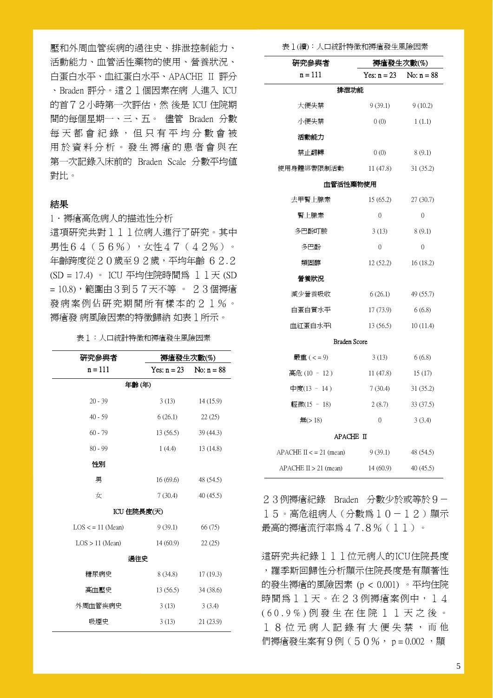壓和外周血管疾病的過往史、排泄控制能力、 活動能力、血管活性藥物的使用、營養狀況、 白蛋白水平、血紅蛋白水平、APACHE II 評分 、Braden 評分。這21個因素在病 人進入 ICU 的首72小時第一次評估,然 後是 ICU 住院期 間的每個星期一、三、五。 儘管 Braden 分數 每天都會紀錄,但只有平均分數會被 用於資料分析。發生褥瘡的患者會與在 第一次記錄入床前的 Braden Scale 分數平均值 對比。

## 結果

1.褥瘡高危病人的描述性分析 這項研究共對111位病人進行了研究。其中 男性64(56%),女性47(42%)。 年齡跨度從20歲至92歲,平均年齡 62.2 (SD = 17.4) 。 ICU 平均住院時間為 11天 (SD = 10.8),範圍由3到57天不等 。 23個褥瘡 發病案例佔研究期間所有樣本的21%。 褥瘡發 病風險因素的特徵歸納 如表1所示。

表1:人口統計特徵和褥瘡發生風險因素

| 研究參與者               | 褥瘡發生次數(%)     |              |  |  |
|---------------------|---------------|--------------|--|--|
| $n = 111$           | Yes: $n = 23$ | No: $n = 88$ |  |  |
| 年齡(年)               |               |              |  |  |
| $20 - 39$           | 3(13)         | 14 (15.9)    |  |  |
| $40 - 59$           | 6(26.1)       | 22(25)       |  |  |
| $60 - 79$           | 13(56.5)      | 39 (44.3)    |  |  |
| $80 - 99$           | 1(4.4)        | 13(14.8)     |  |  |
| 性別                  |               |              |  |  |
| 男                   | 16(69.6)      | 48 (54.5)    |  |  |
| 女                   | 7(30.4)       | 40(45.5)     |  |  |
| ICU 住院長度(天)         |               |              |  |  |
| $LOS < = 11$ (Mean) | 9(39.1)       | 66 (75)      |  |  |
| $LOS > 11$ (Mean)   | 14(60.9)      | 22(25)       |  |  |
| 過往史                 |               |              |  |  |
| 糖尿病史                | 8(34.8)       | 17(19.3)     |  |  |
| 高血壓史                | 13(56.5)      | 34(38.6)     |  |  |
| 外周血管疾病史             | 3(13)         | 3(3.4)       |  |  |
| 吸煙史                 | 3(13)         | 21 (23.9)    |  |  |

#### 表1(續):人口統計特徵和褥瘡發生風險因素

| 研究參與者                     | 褥瘡發生次數(%)      |              |  |  |
|---------------------------|----------------|--------------|--|--|
| $n = 111$                 | Yes: $n = 23$  | No: $n = 88$ |  |  |
| 排泄功能                      |                |              |  |  |
| 大便失禁                      | 9(39.1)        | 9(10.2)      |  |  |
| 小便失禁                      | 0(0)           | 1(1.1)       |  |  |
| 活動能力                      |                |              |  |  |
| 禁止翻轉                      | 0(0)           | 8 (9.1)      |  |  |
| 使用身體綁帶限制活動                | 11 $(47.8)$    | 31 (35.2)    |  |  |
| 血管活性藥物使用                  |                |              |  |  |
| 去甲腎上腺素                    | 15(65.2)       | 27(30.7)     |  |  |
| 腎上腺素                      | $\theta$       | $\mathbf{0}$ |  |  |
| 多巴酚叮胺                     | 3(13)          | 8(9.1)       |  |  |
| 多巴酚                       | $\overline{0}$ | $\mathbf{0}$ |  |  |
| 類固醇                       | 12(52.2)       | 16(18.2)     |  |  |
| 營養狀況                      |                |              |  |  |
| 減少營養吸收                    | 6(26.1)        | 49 (55.7)    |  |  |
| 白蛋白質水平                    | 17 (73.9)      | 6(6.8)       |  |  |
| 血紅蛋白水平1                   | 13 (56.5)      | 10(11.4)     |  |  |
| <b>Braden Score</b>       |                |              |  |  |
| 嚴重 ( < = 9)               | 3(13)          | 6(6.8)       |  |  |
| 高危(10 - 12)               | 11(47.8)       | 15(17)       |  |  |
| 中度(13 - 14 )              | 7(30.4)        | 31(35.2)     |  |  |
| 輕微(15 - 18)               | 2(8.7)         | 33 (37.5)    |  |  |
| 無 $(>18)$                 | $\theta$       | 3(3.4)       |  |  |
| APACHE II                 |                |              |  |  |
| APACHE $II \le 21$ (mean) | 9(39.1)        | 48 (54.5)    |  |  |
| $APACHE II > 21$ (mean)   | 14(60.9)       | 40(45.5)     |  |  |

23例褥瘡紀錄 Braden 分數少於或等於9- 15。高危組病人(分數為10-12)顯示 最高的褥瘡流行率為47.8%(11)。

這研究共紀錄111位元病人的ICU住院長度 ,羅季斯回歸性分析顯示住院長度是有顯著性 的發生褥瘡的風險因素 (p < 0.001) 。平均住院 時間為11天。在23例褥瘡案例中,14 ( 6 0 . 9 % ) 例 發 生 在 住 院 1 1 天 之 後 。 18位元病人記錄有大便失禁, 而 他 們褥瘡發生案有9例(50%, p = 0.002, 期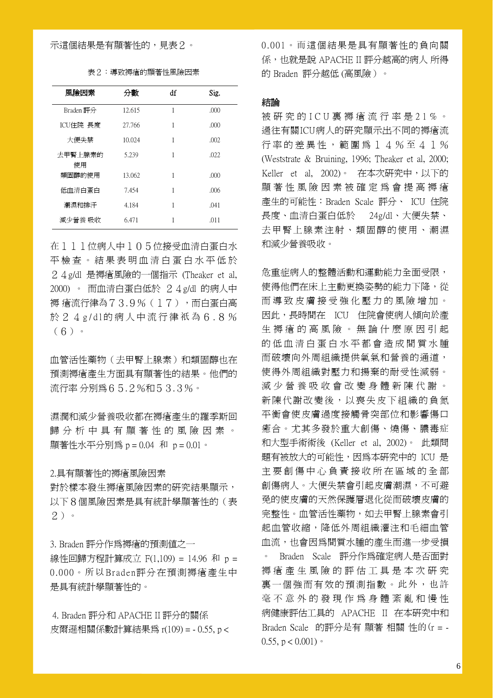## 示這個結果是有顯著性的,見表2。

| 表2:導致褥瘡的顯著性風險因素 |  |
|-----------------|--|
|-----------------|--|

| 風險因素          | 分數     | df | Sig. |
|---------------|--------|----|------|
| Braden 評分     | 12.615 | 1  | .000 |
| ICU住院 長度      | 27.766 | 1  | .000 |
| 大便失禁          | 10.024 | 1  | .002 |
| 去甲腎上腺素的<br>使用 | 5.239  | 1  | .022 |
| 類固醇的使用        | 13.062 | 1  | .000 |
| 低血清白蛋白        | 7.454  | 1  | .006 |
| 潮濕和排汗         | 4.184  | 1  | .041 |
| 減少營養 吸收       | 6.471  |    | .011 |

在111位病人中105位接受血清白蛋白水 平 檢 查 。 結 果 表 明 血 清 白 蛋 白 水 平 低 於 24g/dl 是褥瘡風險的一個指示 (Theaker et al, 2000) 。 而血清白蛋白低於 24g/dl 的病人中 褥 瘡流行律為73.9% (17), 而白蛋白高 於 2 4 g/dl的病人中流行律祇為 6 . 8 % (6)。

血管活性藥物(去甲腎上腺素)和類固醇也在 預測褥瘡產生方面具有顯著性的結果。他們的 流行率 分別為65.2%和53.3%。

濕潤和減少營養吸收都在褥瘡產生的羅季斯回 歸分析中具有顯著性的風險因素。 顯著性水平分別為 p = 0.04 和 p = 0.01。

## 2.具有顯著性的褥瘡風險因素

對於樣本發生褥瘡風險因素的研究結果顯示, 以下8個風險因素是具有統計學顯著性的(表 2)。

3. Braden 評分作為褥瘡的預測值之一 線性回歸方程計算成立 F(1,109) = 14.96 和 p = 0.000。所以Braden評分在預測褥瘡產生中 是具有統計學顯著性的。

 4. Braden 評分和 APACHE II 評分的關係 皮爾遜相關係數計算結果為 r(109) = - 0.55, p < 0.001。而這個結果是具有顯著性的負向關 係,也就是說 APACHE II 評分越高的病人 所得 的 Braden 評分越低 (高風險)。

## 結論

被 研 究 的 I C U 裏 褥 瘡 流 行 率 是 2 1 % 。 過往有關ICU病人的研究顯示出不同的褥瘡流 行率的差異性,範圍為14%至41% (Weststrate & Bruining, 1996; Theaker et al, 2000; Keller et al, 2002)。 在本次研究中,以下的 顯 著 性 風 險 因 素 被 確 定 為 會 提 高 褥 瘡 產生的可能性:Braden Scale 評分、 ICU 住院 長度、血清白蛋白低於 24g/dl、大便失禁、 去甲腎上腺素注射、類固醇的使用、潮濕 和減少營養吸收。

危重症病人的整體活動和運動能力全面受限, 使得他們在床上主動更換姿勢的能力下降,從 而導致皮膚接受強化壓力的風險增加。 因此,長時間在 ICU 住院會使病人傾向於產 生 褥 瘡 的 高 風 險 。 無 論 什 麼 原 因 引 起 的低血清白蛋白水平都會造成間質水腫 而破壞向外周組織提供氧氣和營養的通道, 使得外周組織對壓力和揚棄的耐受性減弱。 減 少 營 養 吸 收 會 改 變 身 體 新 陳 代 謝 。 新陳代謝改變後,以喪失皮下組織的負氮 平衡會使皮膚過度接觸骨突部位和影響傷口 癒合。尤其多發於重大創傷、燒傷、膿毒症 和大型手術術後 (Keller et al, 2002)。 此類問 題有被放大的可能性,因為本研究中的 ICU 是 主 要 創 傷 中 心 負 責 接 收 所 在 區 域 的 全 部 創傷病人。大便失禁會引起皮膚潮濕,不可避 免的使皮膚的天然保護層退化從而破壞皮膚的 完整性。血管活性藥物,如去甲腎上腺素會引 起血管收縮,降低外周組織灌注和毛細血管 血流,也會因為間質水腫的產生而進一步受損 。 Braden Scale 評分作為確定病人是否面對 褥 瘡 產 生 風 險 的 評 估 工 具 是 本 次 研 究 裏一個強而有效的預測指數。此外,也許 毫 不 意 外 的 發 現 作 為 身 體 紊 亂 和 慢 性 病健康評估工具的 APACHE II 在本研究中和 Braden Scale 的評分是有 顯著 相關 性的(r = - 0.55,  $p < 0.001$ )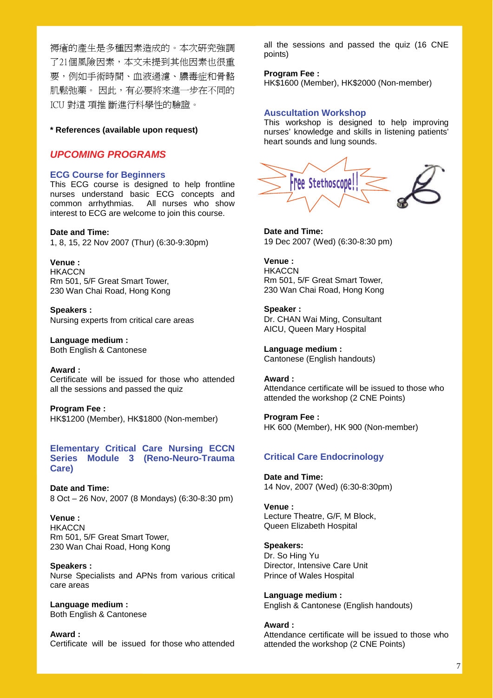褥瘡的產生是多種因素造成的。本次研究強調 了21個風險因素,本文未提到其他因素也很重 要,例如手術時間、血液過濾、膿毒症和骨骼 肌鬆弛藥。 因此,有必要將來進一步在不同的 ICU 對這 項推 斷進行科學性的驗證。

#### **\* References (available upon request)**

## *UPCOMING PROGRAMS*

#### **ECG Course for Beginners**

This ECG course is designed to help frontline nurses understand basic ECG concepts and common arrhythmias. All nurses who show interest to ECG are welcome to join this course.

#### **Date and Time:**

1, 8, 15, 22 Nov 2007 (Thur) (6:30-9:30pm)

**Venue : HKACCN** Rm 501, 5/F Great Smart Tower, 230 Wan Chai Road, Hong Kong

**Speakers :**  Nursing experts from critical care areas

**Language medium :**  Both English & Cantonese

**Award :**  Certificate will be issued for those who attended all the sessions and passed the quiz

**Program Fee :**  HK\$1200 (Member), HK\$1800 (Non-member)

## **Elementary Critical Care Nursing ECCN Series Module 3 (Reno-Neuro-Trauma Care)**

**Date and Time:**  8 Oct – 26 Nov, 2007 (8 Mondays) (6:30-8:30 pm)

**Venue : HKACCN** Rm 501, 5/F Great Smart Tower, 230 Wan Chai Road, Hong Kong

**Speakers :**  Nurse Specialists and APNs from various critical care areas

**Language medium :**  Both English & Cantonese

**Award :**  Certificate will be issued for those who attended all the sessions and passed the quiz (16 CNE points)

#### **Program Fee :**

HK\$1600 (Member), HK\$2000 (Non-member)

#### **Auscultation Workshop**

This workshop is designed to help improving nurses' knowledge and skills in listening patients' heart sounds and lung sounds.



**Date and Time:**  19 Dec 2007 (Wed) (6:30-8:30 pm)

**Venue : HKACCN** Rm 501, 5/F Great Smart Tower, 230 Wan Chai Road, Hong Kong

**Speaker :**  Dr. CHAN Wai Ming, Consultant AICU, Queen Mary Hospital

**Language medium :**  Cantonese (English handouts)

**Award :**  Attendance certificate will be issued to those who attended the workshop (2 CNE Points)

**Program Fee :**  HK 600 (Member), HK 900 (Non-member)

## **Critical Care Endocrinology**

**Date and Time:**  14 Nov, 2007 (Wed) (6:30-8:30pm)

**Venue :**  Lecture Theatre, G/F, M Block, Queen Elizabeth Hospital

#### **Speakers:**

Dr. So Hing Yu Director, Intensive Care Unit Prince of Wales Hospital

**Language medium :**  English & Cantonese (English handouts)

#### **Award :**

Attendance certificate will be issued to those who attended the workshop (2 CNE Points)